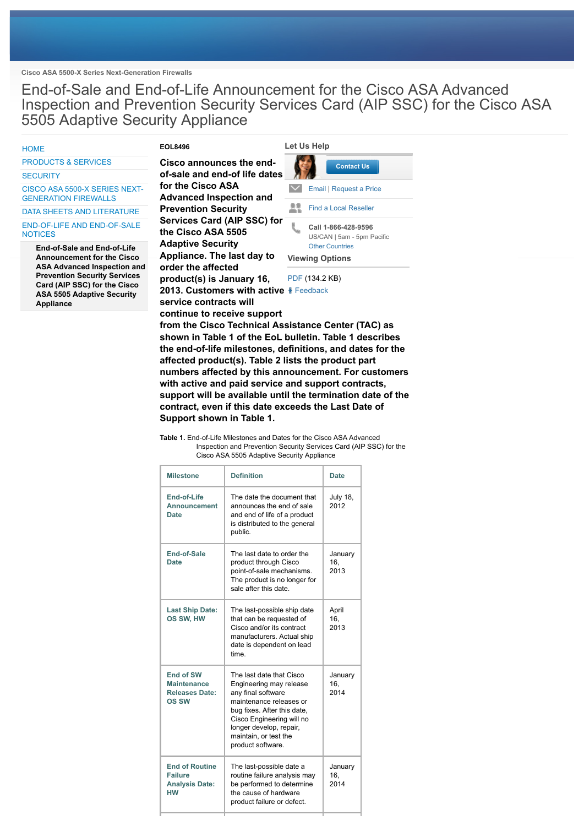**Cisco ASA 5500-X Series Next-Generation Firewalls**

End-of-Sale and End-of-Life Announcement for the Cisco ASA Advanced Inspection and Prevention Security Services Card (AIP SSC) for the Cisco ASA 5505 Adaptive Security Appliance

#### **HOME**

**EOL8496**

### PRODUCTS & SERVICES

**SECURITY** 

CISCO ASA 5500-X SERIES NEXT-GENERATION FIREWALLS

# DATA SHEETS AND LITERATURE

END-OF-LIFE AND END-OF-SALE **NOTICES** 

> **End-of-Sale and End-of-Life Announcement for the Cisco ASA Advanced Inspection and Prevention Security Services Card (AIP SSC) for the Cisco ASA 5505 Adaptive Security Appliance**

# **Cisco announces the end-**

**of-sale and end-of life dates for the Cisco ASA Advanced Inspection and Prevention Security Services Card (AIP SSC) for the Cisco ASA 5505 Adaptive Security Appliance. The last day to order the affected product(s) is January 16, 2013. Customers with active** Feedback **service contracts will continue to receive support**



PDF (134.2 KB)

**from the Cisco Technical Assistance Center (TAC) as shown in Table 1 of the EoL bulletin. Table 1 describes the end-of-life milestones, definitions, and dates for the affected product(s). Table 2 lists the product part numbers affected by this announcement. For customers with active and paid service and support contracts, support will be available until the termination date of the contract, even if this date exceeds the Last Date of Support shown in Table 1.**

**Table 1.** End-of-Life Milestones and Dates for the Cisco ASA Advanced Inspection and Prevention Security Services Card (AIP SSC) for the Cisco ASA 5505 Adaptive Security Appliance

| <b>Milestone</b>                                                                | <b>Definition</b>                                                                                                                                                                                                                         | <b>Date</b>             |
|---------------------------------------------------------------------------------|-------------------------------------------------------------------------------------------------------------------------------------------------------------------------------------------------------------------------------------------|-------------------------|
| End-of-Life<br><b>Announcement</b><br>Date                                      | The date the document that<br>announces the end of sale<br>and end of life of a product<br>is distributed to the general<br>public.                                                                                                       | <b>July 18,</b><br>2012 |
| End-of-Sale<br>Date                                                             | The last date to order the<br>product through Cisco<br>point-of-sale mechanisms.<br>The product is no longer for<br>sale after this date.                                                                                                 | January<br>16,<br>2013  |
| <b>Last Ship Date:</b><br>OS SW, HW                                             | The last-possible ship date<br>that can be requested of<br>Cisco and/or its contract<br>manufacturers. Actual ship<br>date is dependent on lead<br>time                                                                                   | April<br>16.<br>2013    |
| <b>End of SW</b><br><b>Maintenance</b><br><b>Releases Date:</b><br><b>OS SW</b> | The last date that Cisco<br>Engineering may release<br>any final software<br>maintenance releases or<br>bug fixes. After this date,<br>Cisco Engineering will no<br>longer develop, repair,<br>maintain, or test the<br>product software. | January<br>16,<br>2014  |
| <b>End of Routine</b><br><b>Failure</b><br><b>Analysis Date:</b><br>нw          | The last-possible date a<br>routine failure analysis may<br>be performed to determine<br>the cause of hardware<br>product failure or defect.                                                                                              | January<br>16.<br>2014  |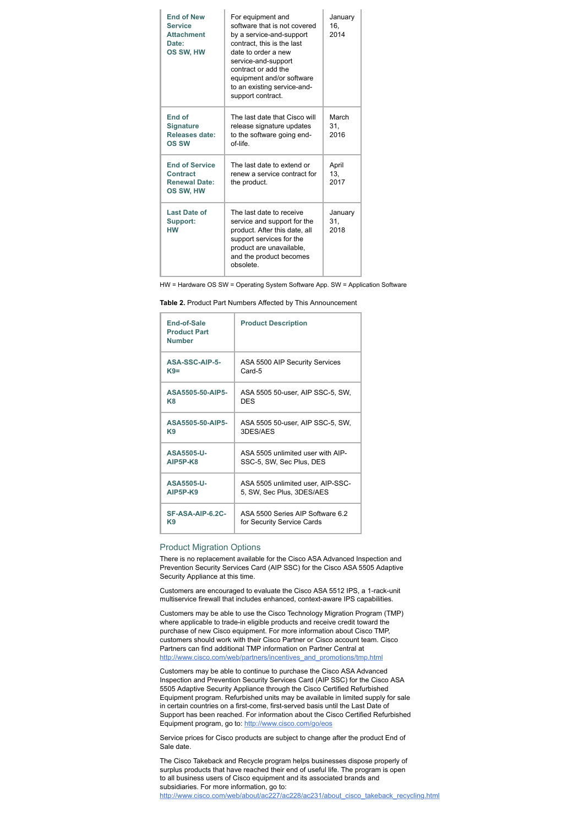| <b>End of New</b><br><b>Service</b><br><b>Attachment</b><br>Date:<br>OS SW, HW | For equipment and<br>software that is not covered<br>by a service-and-support<br>contract, this is the last<br>date to order a new<br>service-and-support<br>contract or add the<br>equipment and/or software<br>to an existing service-and-<br>support contract. | January<br>16.<br>2014 |
|--------------------------------------------------------------------------------|-------------------------------------------------------------------------------------------------------------------------------------------------------------------------------------------------------------------------------------------------------------------|------------------------|
| End of<br><b>Signature</b><br>Releases date:<br>OS SW                          | The last date that Cisco will<br>release signature updates<br>to the software going end-<br>of-life.                                                                                                                                                              | March<br>31.<br>2016   |
| <b>End of Service</b><br>Contract<br><b>Renewal Date:</b><br>OS SW, HW         | The last date to extend or<br>renew a service contract for<br>the product.                                                                                                                                                                                        | April<br>13.<br>2017   |
| <b>Last Date of</b><br>Support:<br><b>HW</b>                                   | The last date to receive<br>service and support for the<br>product. After this date, all<br>support services for the<br>product are unavailable.<br>and the product becomes<br>obsolete                                                                           | January<br>31.<br>2018 |

HW = Hardware OS SW = Operating System Software App. SW = Application Software

**Table 2.** Product Part Numbers Affected by This Announcement

| End-of-Sale<br><b>Product Part</b><br><b>Number</b> | <b>Product Description</b>        |
|-----------------------------------------------------|-----------------------------------|
| ASA-SSC-AIP-5-                                      | ASA 5500 AIP Security Services    |
| $K9=$                                               | Card-5                            |
| ASA5505-50-AIP5-                                    | ASA 5505 50-user, AIP SSC-5, SW,  |
| K8                                                  | <b>DES</b>                        |
| ASA5505-50-AIP5-                                    | ASA 5505 50-user, AIP SSC-5, SW,  |
| K9                                                  | 3DES/AFS                          |
| <b>ASA5505-U-</b>                                   | ASA 5505 unlimited user with AIP- |
| <b>AIP5P-K8</b>                                     | SSC-5, SW, Sec Plus, DES          |
| ASA5505-U-                                          | ASA 5505 unlimited user, AIP-SSC- |
| <b>AIP5P-K9</b>                                     | 5, SW, Sec Plus, 3DES/AES         |
| SF-ASA-AIP-6.2C-                                    | ASA 5500 Series AIP Software 6.2  |
| K9                                                  | for Security Service Cards        |

## Product Migration Options

There is no replacement available for the Cisco ASA Advanced Inspection and Prevention Security Services Card (AIP SSC) for the Cisco ASA 5505 Adaptive Security Appliance at this time.

Customers are encouraged to evaluate the Cisco ASA 5512 IPS, a 1-rack-unit multiservice firewall that includes enhanced, context-aware IPS capabilities.

Customers may be able to use the Cisco Technology Migration Program (TMP) where applicable to trade-in eligible products and receive credit toward the purchase of new Cisco equipment. For more information about Cisco TMP, customers should work with their Cisco Partner or Cisco account team. Cisco Partners can find additional TMP information on Partner Central at http://www.cisco.com/web/partners/incentives\_and\_promotions/tmp.html

Customers may be able to continue to purchase the Cisco ASA Advanced Inspection and Prevention Security Services Card (AIP SSC) for the Cisco ASA 5505 Adaptive Security Appliance through the Cisco Certified Refurbished Equipment program. Refurbished units may be available in limited supply for sale in certain countries on a first-come, first-served basis until the Last Date of Support has been reached. For information about the Cisco Certified Refurbished Equipment program, go to: http://www.cisco.com/go/eos

Service prices for Cisco products are subject to change after the product End of Sale date.

The Cisco Takeback and Recycle program helps businesses dispose properly of surplus products that have reached their end of useful life. The program is open to all business users of Cisco equipment and its associated brands and subsidiaries. For more information, go to: http://www.cisco.com/web/about/ac227/ac228/ac231/about\_cisco\_takeback\_recycling.html